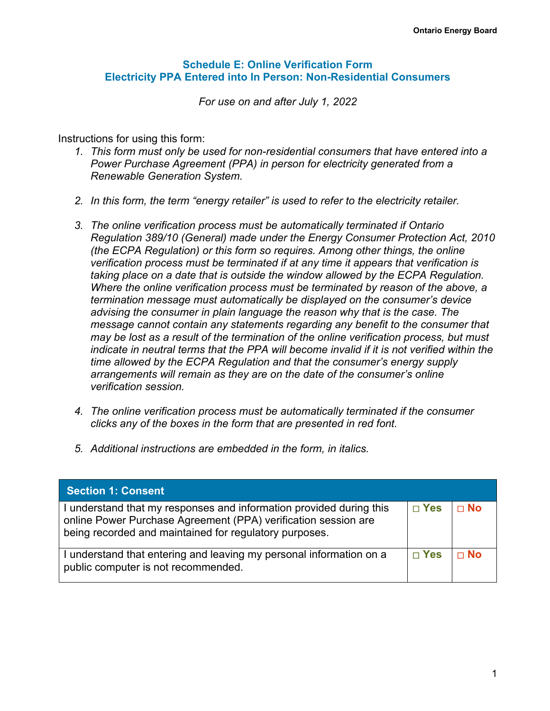#### **Schedule E: Online Verification Form Electricity PPA Entered into In Person: Non-Residential Consumers**

*For use on and after July 1, 2022*

Instructions for using this form:

- *1. This form must only be used for non-residential consumers that have entered into a Power Purchase Agreement (PPA) in person for electricity generated from a Renewable Generation System.*
- *2. In this form, the term "energy retailer" is used to refer to the electricity retailer.*
- *3. The online verification process must be automatically terminated if Ontario Regulation 389/10 (General) made under the Energy Consumer Protection Act, 2010 (the ECPA Regulation) or this form so requires. Among other things, the online verification process must be terminated if at any time it appears that verification is taking place on a date that is outside the window allowed by the ECPA Regulation. Where the online verification process must be terminated by reason of the above, a termination message must automatically be displayed on the consumer's device advising the consumer in plain language the reason why that is the case. The message cannot contain any statements regarding any benefit to the consumer that may be lost as a result of the termination of the online verification process, but must indicate in neutral terms that the PPA will become invalid if it is not verified within the time allowed by the ECPA Regulation and that the consumer's energy supply arrangements will remain as they are on the date of the consumer's online verification session.*
- *4. The online verification process must be automatically terminated if the consumer clicks any of the boxes in the form that are presented in red font.*
- *5. Additional instructions are embedded in the form, in italics.*

| Section 1: Consent                                                                                                                                                                              |            |           |
|-------------------------------------------------------------------------------------------------------------------------------------------------------------------------------------------------|------------|-----------|
| I understand that my responses and information provided during this<br>online Power Purchase Agreement (PPA) verification session are<br>being recorded and maintained for regulatory purposes. | $\Box$ Yes | $\Box$ No |
| I understand that entering and leaving my personal information on a<br>public computer is not recommended.                                                                                      | $\Box$ Yes | $\Box$ No |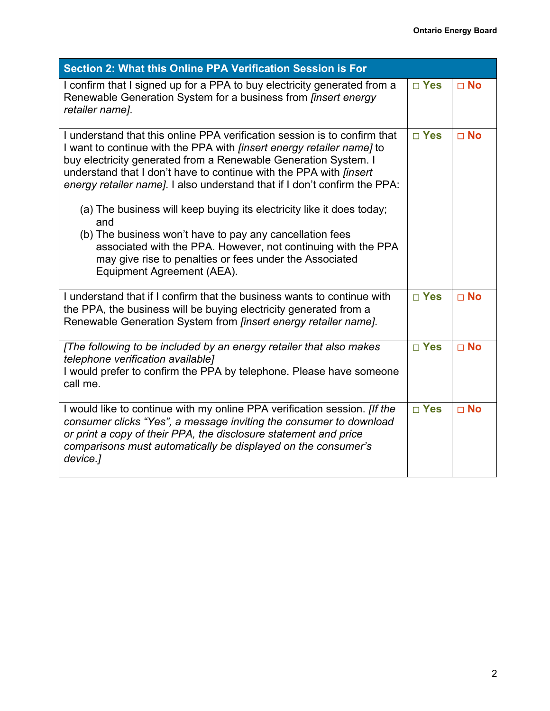| Section 2: What this Online PPA Verification Session is For                                                                                                                                                                                                                                                                                                                                                                                                                                                                                                                                                                                                                                    |               |              |
|------------------------------------------------------------------------------------------------------------------------------------------------------------------------------------------------------------------------------------------------------------------------------------------------------------------------------------------------------------------------------------------------------------------------------------------------------------------------------------------------------------------------------------------------------------------------------------------------------------------------------------------------------------------------------------------------|---------------|--------------|
| I confirm that I signed up for a PPA to buy electricity generated from a<br>Renewable Generation System for a business from <i>finsert energy</i><br>retailer name].                                                                                                                                                                                                                                                                                                                                                                                                                                                                                                                           | $\square$ Yes | $\square$ No |
| I understand that this online PPA verification session is to confirm that<br>I want to continue with the PPA with <i>[insert energy retailer name]</i> to<br>buy electricity generated from a Renewable Generation System. I<br>understand that I don't have to continue with the PPA with <i>[insert</i> ]<br>energy retailer name]. I also understand that if I don't confirm the PPA:<br>(a) The business will keep buying its electricity like it does today;<br>and<br>(b) The business won't have to pay any cancellation fees<br>associated with the PPA. However, not continuing with the PPA<br>may give rise to penalties or fees under the Associated<br>Equipment Agreement (AEA). | $\square$ Yes | $\Box$ No    |
| I understand that if I confirm that the business wants to continue with<br>the PPA, the business will be buying electricity generated from a<br>Renewable Generation System from <i>[insert energy retailer name]</i> .                                                                                                                                                                                                                                                                                                                                                                                                                                                                        | $\Box$ Yes    | $\Box$ No    |
| [The following to be included by an energy retailer that also makes<br>telephone verification available]<br>I would prefer to confirm the PPA by telephone. Please have someone<br>call me.                                                                                                                                                                                                                                                                                                                                                                                                                                                                                                    | $\square$ Yes | $\square$ No |
| I would like to continue with my online PPA verification session. [If the<br>consumer clicks "Yes", a message inviting the consumer to download<br>or print a copy of their PPA, the disclosure statement and price<br>comparisons must automatically be displayed on the consumer's<br>device.]                                                                                                                                                                                                                                                                                                                                                                                               | $\Box$ Yes    | $\Box$ No    |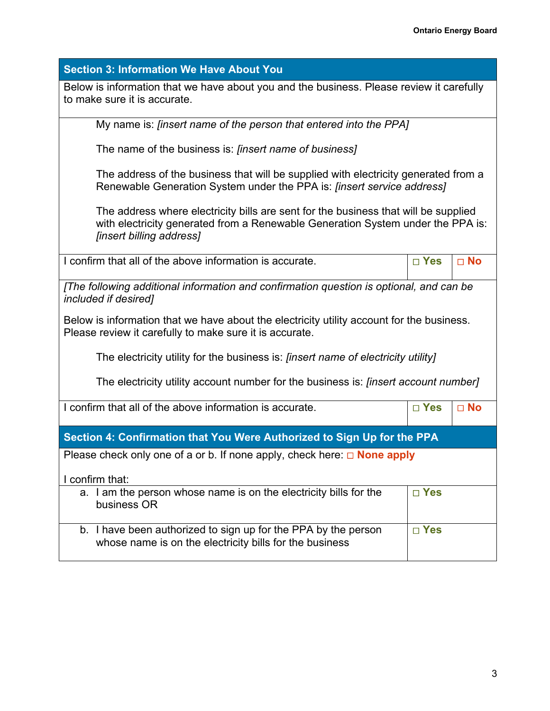| <b>Section 3: Information We Have About You</b>                                                                                                                                                                 |               |              |  |  |
|-----------------------------------------------------------------------------------------------------------------------------------------------------------------------------------------------------------------|---------------|--------------|--|--|
| Below is information that we have about you and the business. Please review it carefully<br>to make sure it is accurate.                                                                                        |               |              |  |  |
| My name is: [insert name of the person that entered into the PPA]                                                                                                                                               |               |              |  |  |
| The name of the business is: [insert name of business]                                                                                                                                                          |               |              |  |  |
| The address of the business that will be supplied with electricity generated from a<br>Renewable Generation System under the PPA is: [insert service address]                                                   |               |              |  |  |
| The address where electricity bills are sent for the business that will be supplied<br>with electricity generated from a Renewable Generation System under the PPA is:<br><i><b>finsert billing address</b></i> |               |              |  |  |
| I confirm that all of the above information is accurate.                                                                                                                                                        | $\square$ Yes | $\square$ No |  |  |
| [The following additional information and confirmation question is optional, and can be<br><i>included if desired]</i>                                                                                          |               |              |  |  |
| Below is information that we have about the electricity utility account for the business.<br>Please review it carefully to make sure it is accurate.                                                            |               |              |  |  |
| The electricity utility for the business is: [insert name of electricity utility]                                                                                                                               |               |              |  |  |
| The electricity utility account number for the business is: [insert account number]                                                                                                                             |               |              |  |  |
| I confirm that all of the above information is accurate.                                                                                                                                                        | $\square$ Yes | $\square$ No |  |  |
| Section 4: Confirmation that You Were Authorized to Sign Up for the PPA                                                                                                                                         |               |              |  |  |
| Please check only one of a or b. If none apply, check here: $\Box$ <b>None apply</b>                                                                                                                            |               |              |  |  |
| I confirm that:                                                                                                                                                                                                 |               |              |  |  |
| a. I am the person whose name is on the electricity bills for the<br>business OR                                                                                                                                | $\square$ Yes |              |  |  |
| b. I have been authorized to sign up for the PPA by the person<br>whose name is on the electricity bills for the business                                                                                       | $\square$ Yes |              |  |  |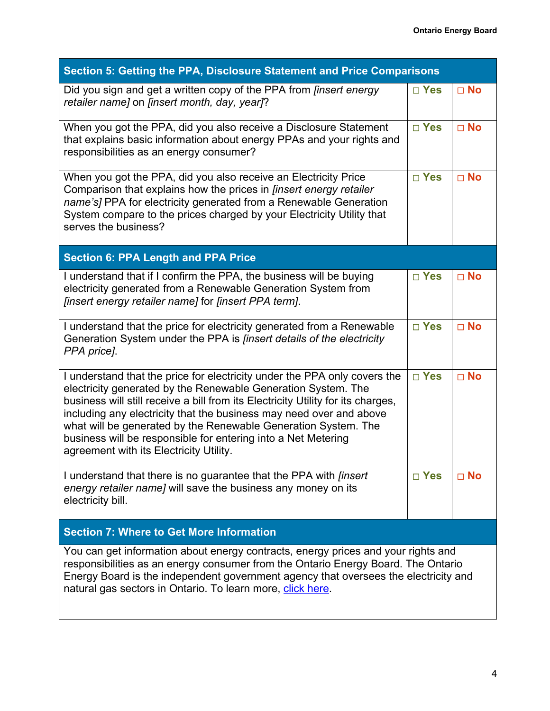| Section 5: Getting the PPA, Disclosure Statement and Price Comparisons                                                                                                                                                                                                                                                                                                                                                                                                              |               |              |  |  |
|-------------------------------------------------------------------------------------------------------------------------------------------------------------------------------------------------------------------------------------------------------------------------------------------------------------------------------------------------------------------------------------------------------------------------------------------------------------------------------------|---------------|--------------|--|--|
| Did you sign and get a written copy of the PPA from <i>finsert energy</i><br>retailer name] on [insert month, day, year]?                                                                                                                                                                                                                                                                                                                                                           | $\square$ Yes | $\square$ No |  |  |
| When you got the PPA, did you also receive a Disclosure Statement<br>that explains basic information about energy PPAs and your rights and<br>responsibilities as an energy consumer?                                                                                                                                                                                                                                                                                               | $\square$ Yes | $\Box$ No    |  |  |
| When you got the PPA, did you also receive an Electricity Price<br>Comparison that explains how the prices in <i>[insert energy retailer</i><br>name's] PPA for electricity generated from a Renewable Generation<br>System compare to the prices charged by your Electricity Utility that<br>serves the business?                                                                                                                                                                  | $\square$ Yes | $\square$ No |  |  |
| <b>Section 6: PPA Length and PPA Price</b>                                                                                                                                                                                                                                                                                                                                                                                                                                          |               |              |  |  |
| I understand that if I confirm the PPA, the business will be buying<br>electricity generated from a Renewable Generation System from<br>[insert energy retailer name] for [insert PPA term].                                                                                                                                                                                                                                                                                        | $\square$ Yes | $\square$ No |  |  |
| I understand that the price for electricity generated from a Renewable<br>Generation System under the PPA is <i>finsert details of the electricity</i><br>PPA price].                                                                                                                                                                                                                                                                                                               | $\square$ Yes | $\square$ No |  |  |
| I understand that the price for electricity under the PPA only covers the<br>electricity generated by the Renewable Generation System. The<br>business will still receive a bill from its Electricity Utility for its charges,<br>including any electricity that the business may need over and above<br>what will be generated by the Renewable Generation System. The<br>business will be responsible for entering into a Net Metering<br>agreement with its Electricity Utility. | $\square$ Yes | $\square$ No |  |  |
| I understand that there is no guarantee that the PPA with <i>finsert</i><br>energy retailer name] will save the business any money on its<br>electricity bill.                                                                                                                                                                                                                                                                                                                      | $\square$ Yes | $\Box$ No    |  |  |
| <b>Section 7: Where to Get More Information</b>                                                                                                                                                                                                                                                                                                                                                                                                                                     |               |              |  |  |
| You can get information about energy contracts, energy prices and your rights and<br>responsibilities as an energy consumer from the Ontario Energy Board. The Ontario<br>Energy Board is the independent government agency that oversees the electricity and<br>natural gas sectors in Ontario. To learn more, click here.                                                                                                                                                         |               |              |  |  |